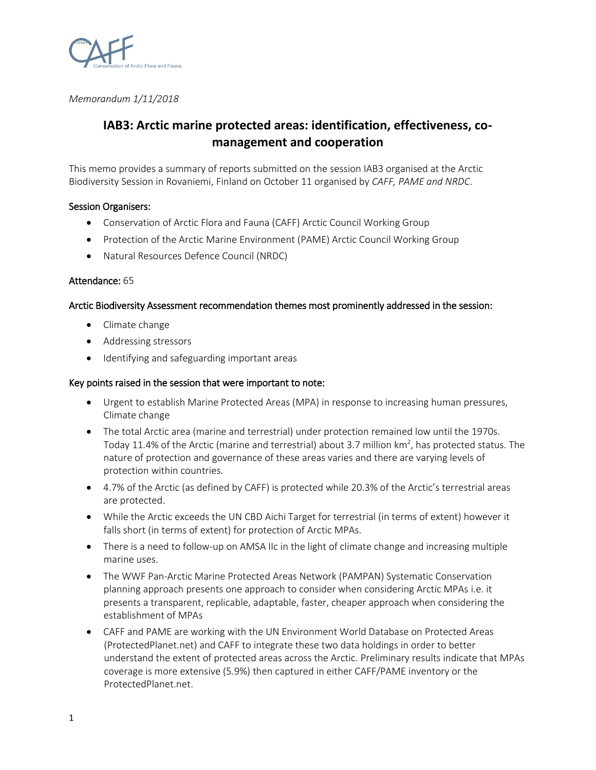

*Memorandum 1/11/2018*

# **IAB3: Arctic marine protected areas: identification, effectiveness, comanagement and cooperation**

This memo provides a summary of reports submitted on the session IAB3 organised at the Arctic Biodiversity Session in Rovaniemi, Finland on October 11 organised by *CAFF, PAME and NRDC*.

# Session Organisers:

- Conservation of Arctic Flora and Fauna (CAFF) Arctic Council Working Group
- Protection of the Arctic Marine Environment (PAME) Arctic Council Working Group
- Natural Resources Defence Council (NRDC)

### Attendance: 65

### Arctic Biodiversity Assessment recommendation themes most prominently addressed in the session:

- Climate change
- Addressing stressors
- Identifying and safeguarding important areas

## Key points raised in the session that were important to note:

- Urgent to establish Marine Protected Areas (MPA) in response to increasing human pressures, Climate change
- The total Arctic area (marine and terrestrial) under protection remained low until the 1970s. Today 11.4% of the Arctic (marine and terrestrial) about 3.7 million  $km^2$ , has protected status. The nature of protection and governance of these areas varies and there are varying levels of protection within countries.
- 4.7% of the Arctic (as defined by CAFF) is protected while 20.3% of the Arctic's terrestrial areas are protected.
- While the Arctic exceeds the UN CBD Aichi Target for terrestrial (in terms of extent) however it falls short (in terms of extent) for protection of Arctic MPAs.
- There is a need to follow-up on AMSA IIc in the light of climate change and increasing multiple marine uses.
- The WWF Pan-Arctic Marine Protected Areas Network (PAMPAN) Systematic Conservation planning approach presents one approach to consider when considering Arctic MPAs i.e. it presents a transparent, replicable, adaptable, faster, cheaper approach when considering the establishment of MPAs
- CAFF and PAME are working with the UN Environment World Database on Protected Areas (ProtectedPlanet.net) and CAFF to integrate these two data holdings in order to better understand the extent of protected areas across the Arctic. Preliminary results indicate that MPAs coverage is more extensive (5.9%) then captured in either CAFF/PAME inventory or the ProtectedPlanet.net.